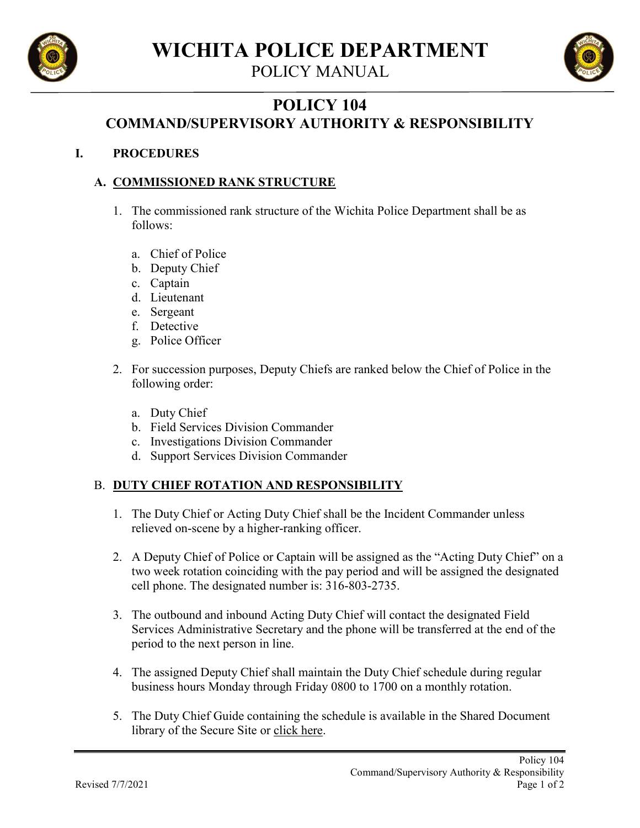

POLICY MANUAL



## **POLICY 104 COMMAND/SUPERVISORY AUTHORITY & RESPONSIBILITY**

## **I. PROCEDURES**

## **A. COMMISSIONED RANK STRUCTURE**

- 1. The commissioned rank structure of the Wichita Police Department shall be as follows:
	- a. Chief of Police
	- b. Deputy Chief
	- c. Captain
	- d. Lieutenant
	- e. Sergeant
	- f. Detective
	- g. Police Officer
- 2. For succession purposes, Deputy Chiefs are ranked below the Chief of Police in the following order:
	- a. Duty Chief
	- b. Field Services Division Commander
	- c. Investigations Division Commander
	- d. Support Services Division Commander

## B. **DUTY CHIEF ROTATION AND RESPONSIBILITY**

- 1. The Duty Chief or Acting Duty Chief shall be the Incident Commander unless relieved on-scene by a higher-ranking officer.
- 2. A Deputy Chief of Police or Captain will be assigned as the "Acting Duty Chief" on a two week rotation coinciding with the pay period and will be assigned the designated cell phone. The designated number is: 316-803-2735.
- 3. The outbound and inbound Acting Duty Chief will contact the designated Field Services Administrative Secretary and the phone will be transferred at the end of the period to the next person in line.
- 4. The assigned Deputy Chief shall maintain the Duty Chief schedule during regular business hours Monday through Friday 0800 to 1700 on a monthly rotation.
- 5. The Duty Chief Guide containing the schedule is available in the Shared Document library of the Secure Site or [click here.](https://cowo365.sharepoint.com/:w:/s/Police/Secure/ETg1VXEEC_JErFPWdhWRtDYBqrnhtbEMlB_6XFokqddbqg?e=2JC3VL)